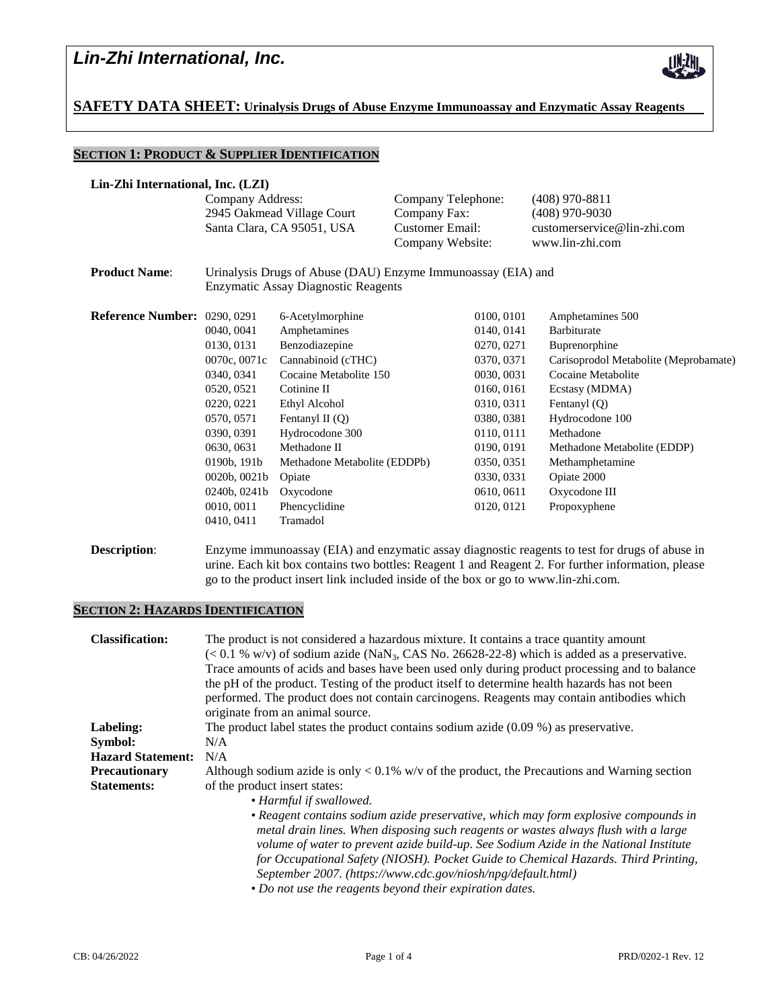

**SAFETY DATA SHEET: Urinalysis Drugs of Abuse Enzyme Immunoassay and Enzymatic Assay Reagents**

## **SECTION 1: PRODUCT & SUPPLIER IDENTIFICATION**

| Lin-Zhi International, Inc. (LZI)   |                                                              |                              |                    |  |                                                 |  |
|-------------------------------------|--------------------------------------------------------------|------------------------------|--------------------|--|-------------------------------------------------|--|
|                                     | Company Address:                                             |                              | Company Telephone: |  | $(408)$ 970-8811                                |  |
|                                     | 2945 Oakmead Village Court<br>Santa Clara, CA 95051, USA     |                              | Company Fax:       |  | $(408)$ 970-9030<br>customerservice@lin-zhi.com |  |
|                                     |                                                              |                              | Customer Email:    |  |                                                 |  |
|                                     |                                                              |                              | Company Website:   |  | www.lin-zhi.com                                 |  |
| <b>Product Name:</b>                | Urinalysis Drugs of Abuse (DAU) Enzyme Immunoassay (EIA) and |                              |                    |  |                                                 |  |
|                                     | Enzymatic Assay Diagnostic Reagents                          |                              |                    |  |                                                 |  |
| <b>Reference Number: 0290, 0291</b> |                                                              | 6-Acetylmorphine             | 0100, 0101         |  | Amphetamines 500                                |  |
|                                     | 0040, 0041                                                   | Amphetamines                 | 0140, 0141         |  | Barbiturate                                     |  |
|                                     | 0130, 0131                                                   | Benzodiazepine               | 0270, 0271         |  | Buprenorphine                                   |  |
|                                     | 0070c, 0071c                                                 | Cannabinoid (cTHC)           | 0370, 0371         |  | Carisoprodol Metabolite (Meprobamate)           |  |
|                                     | 0340, 0341                                                   | Cocaine Metabolite 150       | 0030, 0031         |  | Cocaine Metabolite                              |  |
|                                     | 0520, 0521                                                   | Cotinine II                  | 0160, 0161         |  | Ecstasy (MDMA)                                  |  |
|                                     | 0220, 0221                                                   | Ethyl Alcohol                | 0310, 0311         |  | Fentanyl (Q)                                    |  |
|                                     | 0570, 0571                                                   | Fentanyl II $(Q)$            | 0380, 0381         |  | Hydrocodone 100                                 |  |
|                                     | 0390, 0391                                                   | Hydrocodone 300              | 0110, 0111         |  | Methadone                                       |  |
|                                     | 0630, 0631                                                   | Methadone II                 | 0190, 0191         |  | Methadone Metabolite (EDDP)                     |  |
|                                     | 0190b, 191b                                                  | Methadone Metabolite (EDDPb) | 0350, 0351         |  | Methamphetamine                                 |  |
|                                     | 0020b, 0021b                                                 | Opiate                       | 0330, 0331         |  | Opiate 2000                                     |  |
|                                     | 0240b, 0241b                                                 | Oxycodone                    | 0610, 0611         |  | Oxycodone III                                   |  |
|                                     | 0010, 0011                                                   | Phencyclidine                | 0120, 0121         |  | Propoxyphene                                    |  |
|                                     | 0410, 0411                                                   | Tramadol                     |                    |  |                                                 |  |
|                                     |                                                              |                              |                    |  |                                                 |  |

**Description:** Enzyme immunoassay (EIA) and enzymatic assay diagnostic reagents to test for drugs of abuse in urine. Each kit box contains two bottles: Reagent 1 and Reagent 2. For further information, please go to the product insert link included inside of the box or go to www.lin-zhi.com.

## **SECTION 2: HAZARDS IDENTIFICATION**

| <b>Classification:</b>   | The product is not considered a hazardous mixture. It contains a trace quantity amount<br>$(< 0.1 %$ w/v) of sodium azide (NaN <sub>3</sub> , CAS No. 26628-22-8) which is added as a preservative.<br>Trace amounts of acids and bases have been used only during product processing and to balance<br>the pH of the product. Testing of the product itself to determine health hazards has not been<br>performed. The product does not contain carcinogens. Reagents may contain antibodies which<br>originate from an animal source. |  |  |  |
|--------------------------|-----------------------------------------------------------------------------------------------------------------------------------------------------------------------------------------------------------------------------------------------------------------------------------------------------------------------------------------------------------------------------------------------------------------------------------------------------------------------------------------------------------------------------------------|--|--|--|
| Labeling:                | The product label states the product contains sodium azide $(0.09\%)$ as preservative.                                                                                                                                                                                                                                                                                                                                                                                                                                                  |  |  |  |
| Symbol:                  | N/A                                                                                                                                                                                                                                                                                                                                                                                                                                                                                                                                     |  |  |  |
| <b>Hazard Statement:</b> | N/A                                                                                                                                                                                                                                                                                                                                                                                                                                                                                                                                     |  |  |  |
| Precautionary            | Although sodium azide is only $< 0.1\%$ w/v of the product, the Precautions and Warning section                                                                                                                                                                                                                                                                                                                                                                                                                                         |  |  |  |
| <b>Statements:</b>       | of the product insert states:                                                                                                                                                                                                                                                                                                                                                                                                                                                                                                           |  |  |  |
|                          | • Harmful if swallowed.                                                                                                                                                                                                                                                                                                                                                                                                                                                                                                                 |  |  |  |
|                          | • Reagent contains sodium azide preservative, which may form explosive compounds in<br>metal drain lines. When disposing such reagents or wastes always flush with a large<br>volume of water to prevent azide build-up. See Sodium Azide in the National Institute<br>for Occupational Safety (NIOSH). Pocket Guide to Chemical Hazards. Third Printing,<br>September 2007. (https://www.cdc.gov/niosh/npg/default.html)                                                                                                               |  |  |  |
|                          | • Do not use the reagents beyond their expiration dates.                                                                                                                                                                                                                                                                                                                                                                                                                                                                                |  |  |  |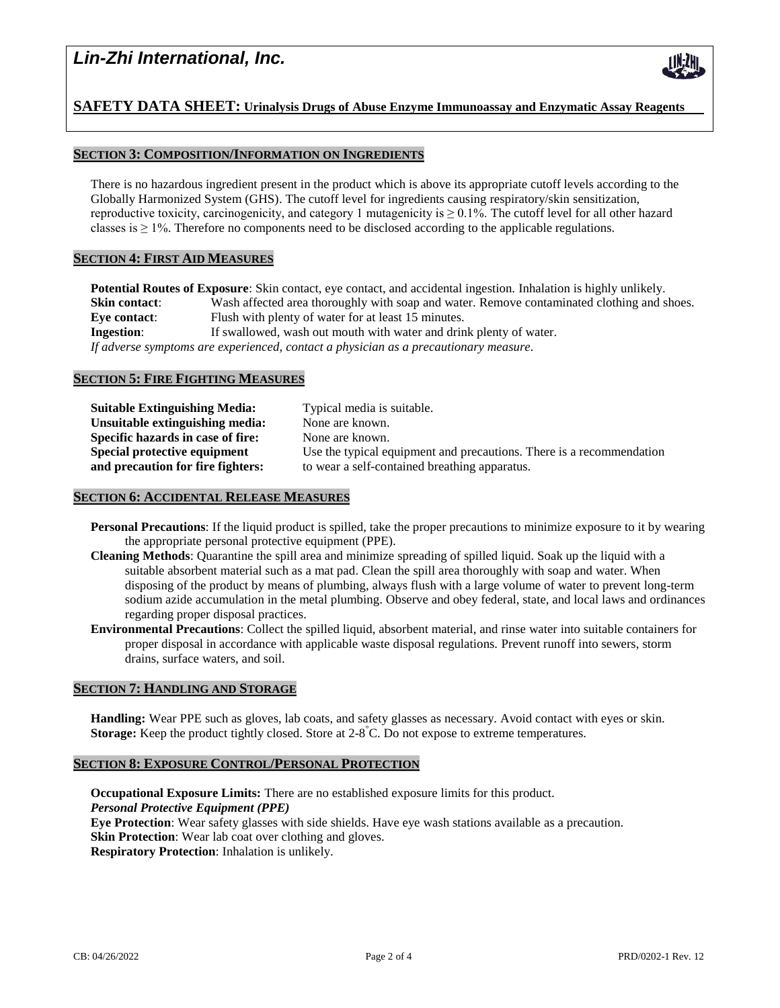# *Lin-Zhi International, Inc.*



# **SAFETY DATA SHEET: Urinalysis Drugs of Abuse Enzyme Immunoassay and Enzymatic Assay Reagents**

## **SECTION 3: COMPOSITION/INFORMATION ON INGREDIENTS**

There is no hazardous ingredient present in the product which is above its appropriate cutoff levels according to the Globally Harmonized System (GHS). The cutoff level for ingredients causing respiratory/skin sensitization, reproductive toxicity, carcinogenicity, and category 1 mutagenicity is  $\geq 0.1\%$ . The cutoff level for all other hazard classes is  $\geq 1\%$ . Therefore no components need to be disclosed according to the applicable regulations.

### **SECTION 4: FIRST AID MEASURES**

**Potential Routes of Exposure**: Skin contact, eye contact, and accidental ingestion. Inhalation is highly unlikely. **Skin contact:** Wash affected area thoroughly with soap and water. Remove contaminated clothing and shoes. **Eye contact:** Flush with plenty of water for at least 15 minutes. **Ingestion:** If swallowed, wash out mouth with water and drink plenty of water. *If adverse symptoms are experienced, contact a physician as a precautionary measure.*

### **SECTION 5: FIRE FIGHTING MEASURES**

| Suitable Extinguishing Media:            | Typical media is suitable.                                           |
|------------------------------------------|----------------------------------------------------------------------|
| Unsuitable extinguishing media:          | None are known.                                                      |
| <b>Specific hazards in case of fire:</b> | None are known.                                                      |
| Special protective equipment             | Use the typical equipment and precautions. There is a recommendation |
| and precaution for fire fighters:        | to wear a self-contained breathing apparatus.                        |
|                                          |                                                                      |

## **SECTION 6: ACCIDENTAL RELEASE MEASURES**

- **Personal Precautions**: If the liquid product is spilled, take the proper precautions to minimize exposure to it by wearing the appropriate personal protective equipment (PPE).
- **Cleaning Methods**: Quarantine the spill area and minimize spreading of spilled liquid. Soak up the liquid with a suitable absorbent material such as a mat pad. Clean the spill area thoroughly with soap and water. When disposing of the product by means of plumbing, always flush with a large volume of water to prevent long-term sodium azide accumulation in the metal plumbing. Observe and obey federal, state, and local laws and ordinances regarding proper disposal practices.
- **Environmental Precautions**: Collect the spilled liquid, absorbent material, and rinse water into suitable containers for proper disposal in accordance with applicable waste disposal regulations. Prevent runoff into sewers, storm drains, surface waters, and soil.

### **SECTION 7: HANDLING AND STORAGE**

**Handling:** Wear PPE such as gloves, lab coats, and safety glasses as necessary. Avoid contact with eyes or skin. Storage: Keep the product tightly closed. Store at 2-8<sup>°</sup>C. Do not expose to extreme temperatures.

### **SECTION 8: EXPOSURE CONTROL/PERSONAL PROTECTION**

**Occupational Exposure Limits:** There are no established exposure limits for this product. *Personal Protective Equipment (PPE)* **Eye Protection**: Wear safety glasses with side shields. Have eye wash stations available as a precaution. **Skin Protection**: Wear lab coat over clothing and gloves.

**Respiratory Protection**: Inhalation is unlikely.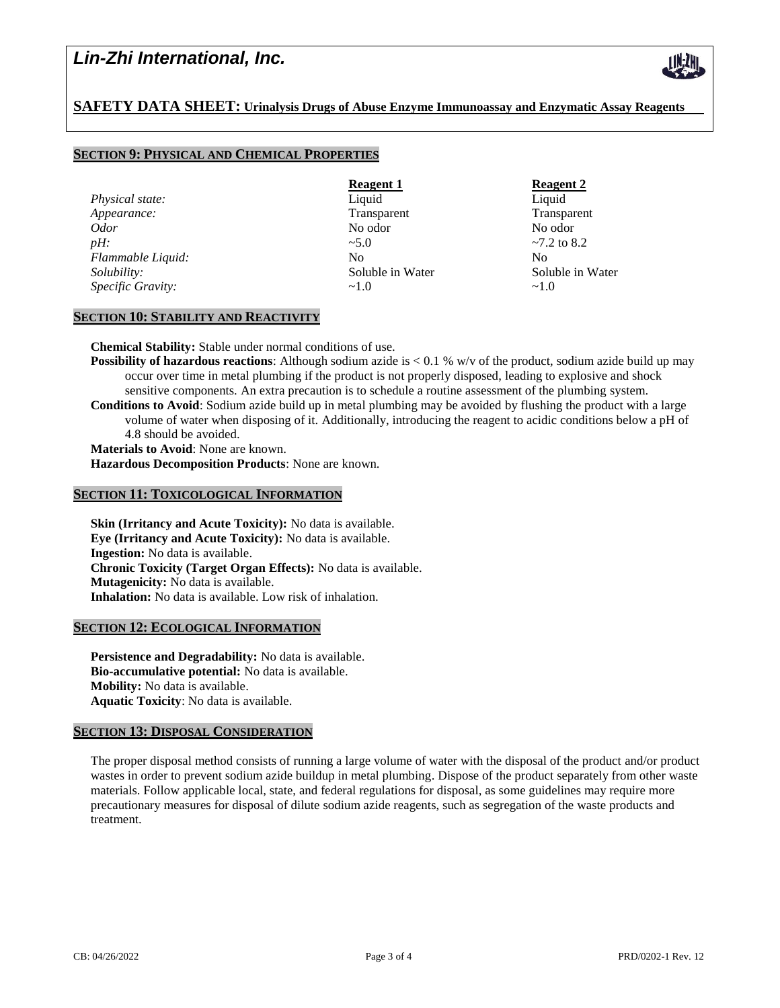# *Lin-Zhi International, Inc.*



## **SAFETY DATA SHEET: Urinalysis Drugs of Abuse Enzyme Immunoassay and Enzymatic Assay Reagents**

## **SECTION 9: PHYSICAL AND CHEMICAL PROPERTIES**

**Physical state:** Liquid Liquid Liquid Liquid Liquid Liquid Liquid Liquid Liquid Liquid Liquid Liquid Liquid Liquid Liquid Liquid Liquid Liquid Liquid Liquid Liquid Liquid Liquid Liquid Liquid Liquid Liquid Liquid Liquid L *Appearance:* Transparent Transparent Transparent Transparent Transparent Transparent *Odor* No odor No odor *pH:*  $\sim$  5.0  $\sim$  7.2 to 8.2 *Flammable Liquid:* No No No No No *Solubility:* Soluble in Water Soluble in Water *Specific Gravity:*  $\sim$ 1.0  $\sim$ 1.0

**Reagent 1 Reagent 2** 

## **SECTION 10: STABILITY AND REACTIVITY**

**Chemical Stability:** Stable under normal conditions of use.

**Possibility of hazardous reactions**: Although sodium azide is < 0.1 % w/v of the product, sodium azide build up may occur over time in metal plumbing if the product is not properly disposed, leading to explosive and shock sensitive components. An extra precaution is to schedule a routine assessment of the plumbing system. **Conditions to Avoid**: Sodium azide build up in metal plumbing may be avoided by flushing the product with a large volume of water when disposing of it. Additionally, introducing the reagent to acidic conditions below a pH of 4.8 should be avoided. **Materials to Avoid**: None are known.

**Hazardous Decomposition Products**: None are known.

#### **SECTION 11: TOXICOLOGICAL INFORMATION**

**Skin (Irritancy and Acute Toxicity):** No data is available. **Eye (Irritancy and Acute Toxicity):** No data is available. **Ingestion:** No data is available. **Chronic Toxicity (Target Organ Effects):** No data is available. **Mutagenicity:** No data is available. **Inhalation:** No data is available. Low risk of inhalation.

### **SECTION 12: ECOLOGICAL INFORMATION**

**Persistence and Degradability:** No data is available. **Bio-accumulative potential:** No data is available. **Mobility:** No data is available. **Aquatic Toxicity**: No data is available.

### **SECTION 13: DISPOSAL CONSIDERATION**

The proper disposal method consists of running a large volume of water with the disposal of the product and/or product wastes in order to prevent sodium azide buildup in metal plumbing. Dispose of the product separately from other waste materials. Follow applicable local, state, and federal regulations for disposal, as some guidelines may require more precautionary measures for disposal of dilute sodium azide reagents, such as segregation of the waste products and treatment.